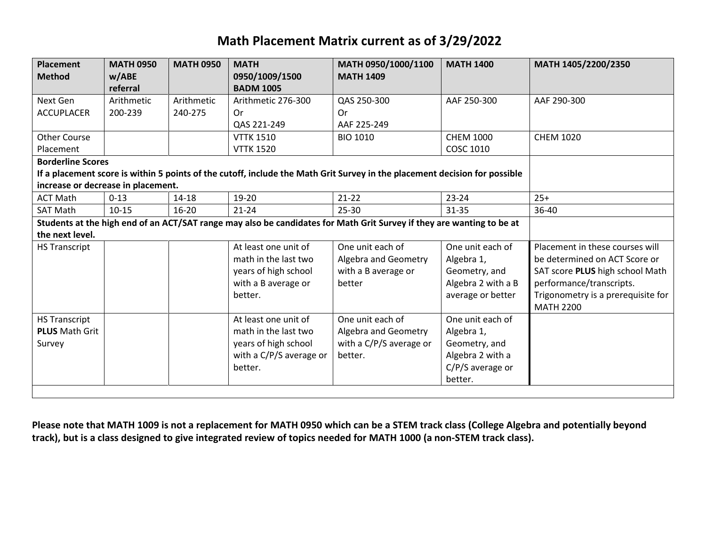## **Math Placement Matrix current as of 3/29/2022**

| <b>Placement</b><br><b>Method</b>                                                                                                                                                            | <b>MATH 0950</b><br>w/ABE<br>referral | <b>MATH 0950</b>      | <b>MATH</b><br>0950/1009/1500<br><b>BADM 1005</b>                                                          | MATH 0950/1000/1100<br><b>MATH 1409</b>                                        | <b>MATH 1400</b>                                                                                   | MATH 1405/2200/2350                                                                                                                                                                       |
|----------------------------------------------------------------------------------------------------------------------------------------------------------------------------------------------|---------------------------------------|-----------------------|------------------------------------------------------------------------------------------------------------|--------------------------------------------------------------------------------|----------------------------------------------------------------------------------------------------|-------------------------------------------------------------------------------------------------------------------------------------------------------------------------------------------|
| Next Gen<br><b>ACCUPLACER</b>                                                                                                                                                                | Arithmetic<br>200-239                 | Arithmetic<br>240-275 | Arithmetic 276-300<br>0r<br>QAS 221-249                                                                    | QAS 250-300<br>0r<br>AAF 225-249                                               | AAF 250-300                                                                                        | AAF 290-300                                                                                                                                                                               |
| <b>Other Course</b><br>Placement                                                                                                                                                             |                                       |                       | <b>VTTK 1510</b><br><b>VTTK 1520</b>                                                                       | <b>BIO 1010</b>                                                                | <b>CHEM 1000</b><br><b>COSC 1010</b>                                                               | <b>CHEM 1020</b>                                                                                                                                                                          |
| <b>Borderline Scores</b><br>If a placement score is within 5 points of the cutoff, include the Math Grit Survey in the placement decision for possible<br>increase or decrease in placement. |                                       |                       |                                                                                                            |                                                                                |                                                                                                    |                                                                                                                                                                                           |
| <b>ACT Math</b>                                                                                                                                                                              | $0 - 13$                              | $14 - 18$             | 19-20                                                                                                      | $21 - 22$                                                                      | $23 - 24$                                                                                          | $25+$                                                                                                                                                                                     |
| <b>SAT Math</b>                                                                                                                                                                              | $10 - 15$                             | $16 - 20$             | $21 - 24$                                                                                                  | 25-30                                                                          | $31 - 35$                                                                                          | 36-40                                                                                                                                                                                     |
| Students at the high end of an ACT/SAT range may also be candidates for Math Grit Survey if they are wanting to be at<br>the next level.                                                     |                                       |                       |                                                                                                            |                                                                                |                                                                                                    |                                                                                                                                                                                           |
| <b>HS Transcript</b>                                                                                                                                                                         |                                       |                       | At least one unit of<br>math in the last two<br>years of high school<br>with a B average or<br>better.     | One unit each of<br>Algebra and Geometry<br>with a B average or<br>better      | One unit each of<br>Algebra 1,<br>Geometry, and<br>Algebra 2 with a B<br>average or better         | Placement in these courses will<br>be determined on ACT Score or<br>SAT score PLUS high school Math<br>performance/transcripts.<br>Trigonometry is a prerequisite for<br><b>MATH 2200</b> |
| <b>HS Transcript</b><br><b>PLUS Math Grit</b><br>Survey                                                                                                                                      |                                       |                       | At least one unit of<br>math in the last two<br>years of high school<br>with a C/P/S average or<br>better. | One unit each of<br>Algebra and Geometry<br>with a C/P/S average or<br>better. | One unit each of<br>Algebra 1,<br>Geometry, and<br>Algebra 2 with a<br>C/P/S average or<br>better. |                                                                                                                                                                                           |

**Please note that MATH 1009 is not a replacement for MATH 0950 which can be a STEM track class (College Algebra and potentially beyond track), but is a class designed to give integrated review of topics needed for MATH 1000 (a non-STEM track class).**